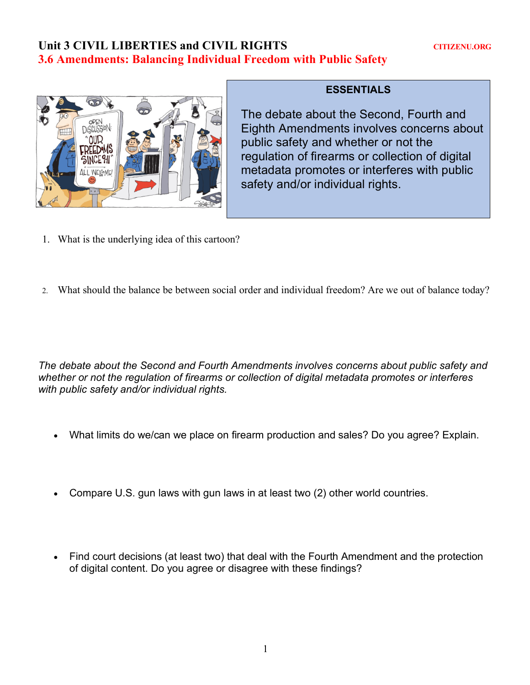## Unit 3 CIVIL LIBERTIES and CIVIL RIGHTS **CITIZENU.ORG 3.6 Amendments: Balancing Individual Freedom with Public Safety**



## **ESSENTIALS**

The debate about the Second, Fourth and Eighth Amendments involves concerns about public safety and whether or not the regulation of firearms or collection of digital metadata promotes or interferes with public safety and/or individual rights.

- 1. What is the underlying idea of this cartoon?
- 2. What should the balance be between social order and individual freedom? Are we out of balance today?

*The debate about the Second and Fourth Amendments involves concerns about public safety and whether or not the regulation of firearms or collection of digital metadata promotes or interferes with public safety and/or individual rights.*

- What limits do we/can we place on firearm production and sales? Do you agree? Explain.
- Compare U.S. gun laws with gun laws in at least two (2) other world countries.
- Find court decisions (at least two) that deal with the Fourth Amendment and the protection of digital content. Do you agree or disagree with these findings?